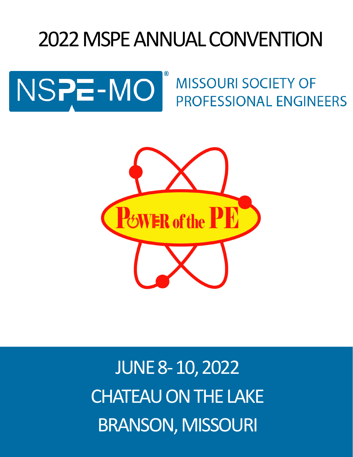# 2022 MSPE ANNUAL CONVENTION



**MISSOURI SOCIETY OF PROFESSIONAL ENGINEERS** 



JUNE 8-10, 2022 CHATEAU ON THE LAKE BRANSON, MISSOURI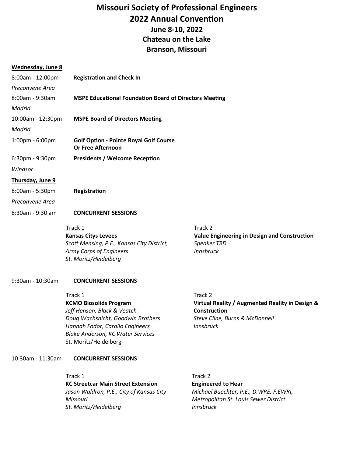## **Missouri Society of Professional Engineers 2022 Annual Convention June 8-10, 2022 Chateau on the Lake Branson, Missouri**

#### **Wednesday, June 8**

| 8:00am - 12:00pm  | <b>Registration and Check In</b>                                                                                                                                         |                                                                                            |  |
|-------------------|--------------------------------------------------------------------------------------------------------------------------------------------------------------------------|--------------------------------------------------------------------------------------------|--|
| Preconvene Area   |                                                                                                                                                                          |                                                                                            |  |
| 8:00am - 9:30am   | <b>MSPE Educational Foundation Board of Directors Meeting</b>                                                                                                            |                                                                                            |  |
| Madrid            |                                                                                                                                                                          |                                                                                            |  |
| 10:00am - 12:30pm | <b>MSPE Board of Directors Meeting</b>                                                                                                                                   |                                                                                            |  |
| Madrid            |                                                                                                                                                                          |                                                                                            |  |
| 1:00pm - 6:00pm   | <b>Golf Option - Pointe Royal Golf Course</b><br><b>Or Free Afternoon</b>                                                                                                |                                                                                            |  |
| 6:30pm - 9:30pm   | <b>Presidents / Welcome Reception</b>                                                                                                                                    |                                                                                            |  |
| Windsor           |                                                                                                                                                                          |                                                                                            |  |
| Thursday, June 9  |                                                                                                                                                                          |                                                                                            |  |
| 8:00am - 5:30pm   | Registration                                                                                                                                                             |                                                                                            |  |
| Preconvene Area   |                                                                                                                                                                          |                                                                                            |  |
| 8:30am - 9:30 am  | <b>CONCURRENT SESSIONS</b>                                                                                                                                               |                                                                                            |  |
|                   | Track 1<br><b>Kansas Citys Levees</b><br>Scott Mensing, P.E., Kansas City District,<br>Army Corps of Engineers<br>St. Moritz/Heidelberg                                  | Track 2<br>Value Engineering in Design and Construction<br>Speaker TBD<br><b>Innsbruck</b> |  |
| 9:30am - 10:30am  | <b>CONCURRENT SESSIONS</b><br>Track 1<br><b>KCMO Biosolids Program</b>                                                                                                   | Track 2<br>Virtual Reality / Augmented Reality in Design &                                 |  |
|                   | Jeff Henson, Black & Veatch<br>Doug Wachsnicht, Goodwin Brothers<br>Hannah Fodor, Carollo Engineers<br><b>Blake Anderson, KC Water Services</b><br>St. Moritz/Heidelberg | Construction<br>Steve Cline, Burns & McDonnell<br><b>Innsbruck</b>                         |  |

#### 10:30am - 11:30am **CONCURRENT SESSIONS**

Track 1 **KC Streetcar Main Street Extension**  *Jason Waldron, P.E., City of Kansas City Missouri St. Moritz/Heidelberg*

## Track 2

**Engineered to Hear**  *Michael Buechter, P.E., D.WRE, F.EWRI, Metropolitan St. Louis Sewer District Innsbruck*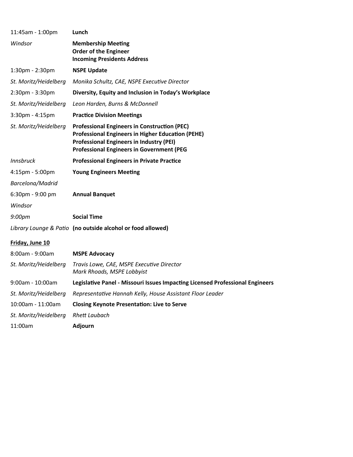| 11:45am - 1:00pm      | Lunch                                                                                                                                                                                                                  |
|-----------------------|------------------------------------------------------------------------------------------------------------------------------------------------------------------------------------------------------------------------|
| Windsor               | <b>Membership Meeting</b><br><b>Order of the Engineer</b><br><b>Incoming Presidents Address</b>                                                                                                                        |
| 1:30pm - 2:30pm       | <b>NSPE Update</b>                                                                                                                                                                                                     |
| St. Moritz/Heidelberg | Monika Schultz, CAE, NSPE Executive Director                                                                                                                                                                           |
| 2:30pm - 3:30pm       | Diversity, Equity and Inclusion in Today's Workplace                                                                                                                                                                   |
| St. Moritz/Heidelberg | Leon Harden, Burns & McDonnell                                                                                                                                                                                         |
| 3:30pm - 4:15pm       | <b>Practice Division Meetings</b>                                                                                                                                                                                      |
| St. Moritz/Heidelberg | <b>Professional Engineers in Construction (PEC)</b><br><b>Professional Engineers in Higher Education (PEHE)</b><br><b>Professional Engineers in Industry (PEI)</b><br><b>Professional Engineers in Government (PEG</b> |
| <b>Innsbruck</b>      | <b>Professional Engineers in Private Practice</b>                                                                                                                                                                      |
| 4:15pm - 5:00pm       | <b>Young Engineers Meeting</b>                                                                                                                                                                                         |
| Barcelona/Madrid      |                                                                                                                                                                                                                        |
| 6:30pm - 9:00 pm      | <b>Annual Banquet</b>                                                                                                                                                                                                  |
| Windsor               |                                                                                                                                                                                                                        |
| 9:00pm                | <b>Social Time</b>                                                                                                                                                                                                     |
|                       | Library Lounge & Patio (no outside alcohol or food allowed)                                                                                                                                                            |
| Friday, June 10       |                                                                                                                                                                                                                        |
| 8:00am - 9:00am       | <b>MSPE Advocacy</b>                                                                                                                                                                                                   |
| St. Moritz/Heidelberg | Travis Lowe, CAE, MSPE Executive Director<br>Mark Rhoads, MSPE Lobbyist                                                                                                                                                |
| 9:00am - 10:00am      | Legislative Panel - Missouri Issues Impacting Licensed Professional Engineers                                                                                                                                          |
| St. Moritz/Heidelberg | Representative Hannah Kelly, House Assistant Floor Leader                                                                                                                                                              |
| 10:00am - 11:00am     | <b>Closing Keynote Presentation: Live to Serve</b>                                                                                                                                                                     |
| St. Moritz/Heidelberg | <b>Rhett Laubach</b>                                                                                                                                                                                                   |
| 11:00am               | Adjourn                                                                                                                                                                                                                |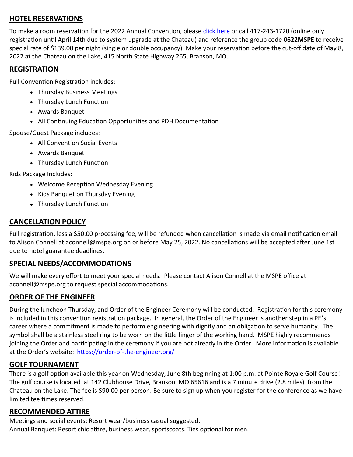### **HOTEL RESERVATIONS**

To make a room reservation for the 2022 Annual Convention, please [click here](http://bookings.ihotelier.com/bookings.jsp?groupID=3155452&hotelID=11529) or call 417-243-1720 (online only registration until April 14th due to system upgrade at the Chateau) and reference the group code **0622MSPE** to receive special rate of \$139.00 per night (single or double occupancy). Make your reservation before the cut-off date of May 8, 2022 at the Chateau on the Lake, 415 North State Highway 265, Branson, MO.

#### **REGISTRATION**

Full Convention Registration includes:

- Thursday Business Meetings
- Thursday Lunch Function
- Awards Banquet
- All Continuing Education Opportunities and PDH Documentation

Spouse/Guest Package includes:

- All Convention Social Events
- Awards Banquet
- Thursday Lunch Function

Kids Package Includes:

- Welcome Reception Wednesday Evening
- Kids Banquet on Thursday Evening
- Thursday Lunch Function

### **CANCELLATION POLICY**

Full registration, less a \$50.00 processing fee, will be refunded when cancellation is made via email notification email to Alison Connell at aconnell@mspe.org on or before May 25, 2022. No cancellations will be accepted after June 1st due to hotel guarantee deadlines.

#### **SPECIAL NEEDS/ACCOMMODATIONS**

We will make every effort to meet your special needs. Please contact Alison Connell at the MSPE office at aconnell@mspe.org to request special accommodations.

### **ORDER OF THE ENGINEER**

During the luncheon Thursday, and Order of the Engineer Ceremony will be conducted. Registration for this ceremony is included in this convention registration package. In general, the Order of the Engineer is another step in a PE's career where a commitment is made to perform engineering with dignity and an obligation to serve humanity. The symbol shall be a stainless steel ring to be worn on the little finger of the working hand. MSPE highly recommends joining the Order and participating in the ceremony if you are not already in the Order. More information is available at the Order's website: https://order-of-the-[engineer.org/](https://order-of-the-engineer.org/)

### **GOLF TOURNAMENT**

There is a golf option available this year on Wednesday, June 8th beginning at 1:00 p.m. at Pointe Royale Golf Course! The golf course is located at 142 Clubhouse Drive, Branson, MO 65616 and is a 7 minute drive (2.8 miles) from the Chateau on the Lake. The fee is \$90.00 per person. Be sure to sign up when you register for the conference as we have limited tee times reserved.

### **RECOMMENDED ATTIRE**

Meetings and social events: Resort wear/business casual suggested. Annual Banquet: Resort chic attire, business wear, sportscoats. Ties optional for men.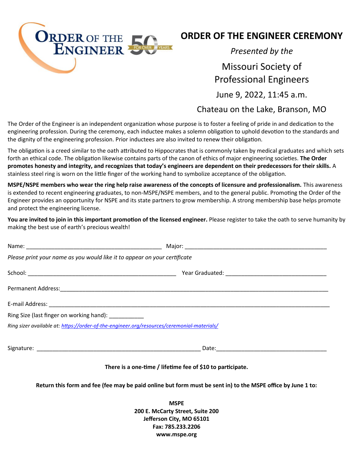

## **ORDER OF THE ENGINEER CEREMONY**

*Presented by the*

# Missouri Society of Professional Engineers

June 9, 2022, 11:45 a.m.

## Chateau on the Lake, Branson, MO

The Order of the Engineer is an independent organization whose purpose is to foster a feeling of pride in and dedication to the engineering profession. During the ceremony, each inductee makes a solemn obligation to uphold devotion to the standards and the dignity of the engineering profession. Prior inductees are also invited to renew their obligation.

The obligation is a creed similar to the oath attributed to Hippocrates that is commonly taken by medical graduates and which sets forth an ethical code. The obligation likewise contains parts of the canon of ethics of major engineering societies. **The Order promotes honesty and integrity, and recognizes that today's engineers are dependent on their predecessors for their skills.** A stainless steel ring is worn on the little finger of the working hand to symbolize acceptance of the obligation.

**MSPE/NSPE members who wear the ring help raise awareness of the concepts of licensure and professionalism.** This awareness is extended to recent engineering graduates, to non-MSPE/NSPE members, and to the general public. Promoting the Order of the Engineer provides an opportunity for NSPE and its state partners to grow membership. A strong membership base helps promote and protect the engineering license.

**You are invited to join in this important promotion of the licensed engineer.** Please register to take the oath to serve humanity by making the best use of earth's precious wealth!

| Please print your name as you would like it to appear on your certificate |                                                                                            |  |
|---------------------------------------------------------------------------|--------------------------------------------------------------------------------------------|--|
|                                                                           |                                                                                            |  |
|                                                                           |                                                                                            |  |
|                                                                           |                                                                                            |  |
| Ring Size (last finger on working hand):                                  |                                                                                            |  |
|                                                                           | Ring sizer available at: https://order-of-the-engineer.org/resources/ceremonial-materials/ |  |
|                                                                           | Date:                                                                                      |  |

#### **There is a one-time / lifetime fee of \$10 to participate.**

**Return this form and fee (fee may be paid online but form must be sent in) to the MSPE office by June 1 to:**

**MSPE 200 E. McCarty Street, Suite 200 Jefferson City, MO 65101 Fax: 785.233.2206 www.mspe.org**